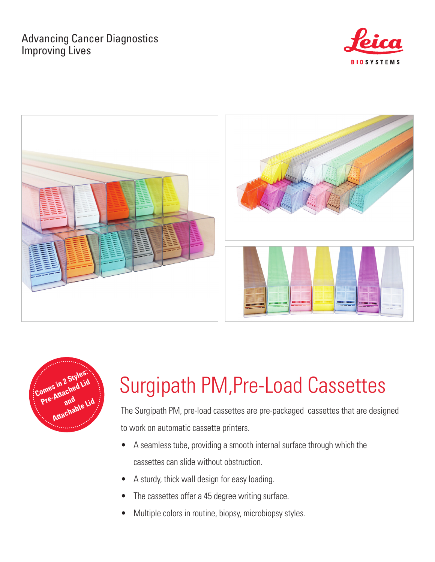## Advancing Cancer Diagnostics Improving Lives







# Surgipath PM,Pre-Load Cassettes

The Surgipath PM, pre-load cassettes are pre-packaged cassettes that are designed to work on automatic cassette printers.

- A seamless tube, providing a smooth internal surface through which the cassettes can slide without obstruction.
- A sturdy, thick wall design for easy loading.
- The cassettes offer a 45 degree writing surface.
- Multiple colors in routine, biopsy, microbiopsy styles.